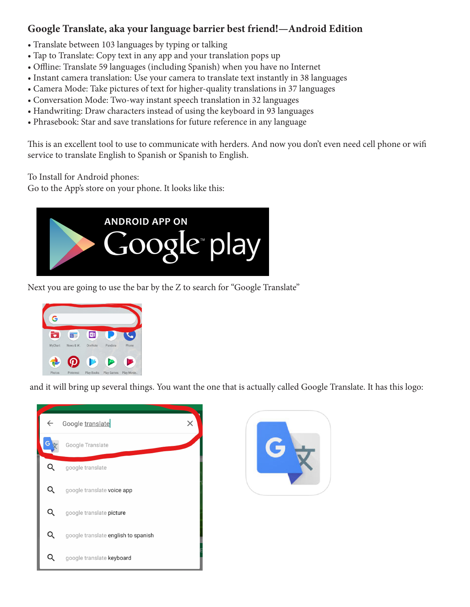## **Google Translate, aka your language barrier best friend!—Android Edition**

- Translate between 103 languages by typing or talking
- Tap to Translate: Copy text in any app and your translation pops up
- Offline: Translate 59 languages (including Spanish) when you have no Internet
- Instant camera translation: Use your camera to translate text instantly in 38 languages
- Camera Mode: Take pictures of text for higher-quality translations in 37 languages
- Conversation Mode: Two-way instant speech translation in 32 languages
- Handwriting: Draw characters instead of using the keyboard in 93 languages
- Phrasebook: Star and save translations for future reference in any language

This is an excellent tool to use to communicate with herders. And now you don't even need cell phone or wifi service to translate English to Spanish or Spanish to English.

To Install for Android phones:

Go to the App's store on your phone. It looks like this:



Next you are going to use the bar by the Z to search for "Google Translate"



and it will bring up several things. You want the one that is actually called Google Translate. It has this logo: